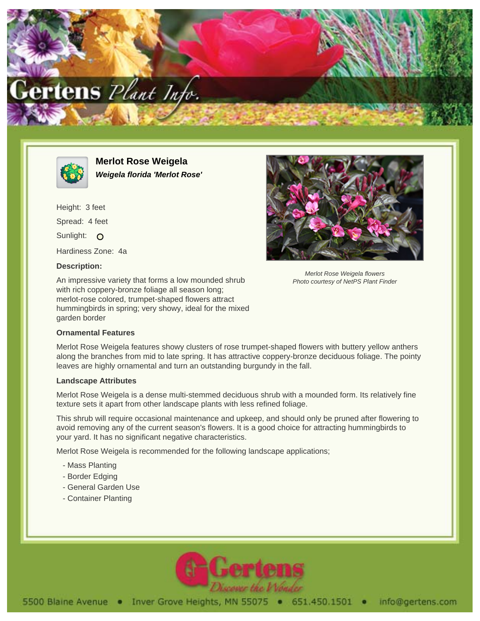



**Merlot Rose Weigela Weigela florida 'Merlot Rose'**

Height: 3 feet Spread: 4 feet Sunlight: O Hardiness Zone: 4a

## **Description:**

An impressive variety that forms a low mounded shrub with rich coppery-bronze foliage all season long; merlot-rose colored, trumpet-shaped flowers attract hummingbirds in spring; very showy, ideal for the mixed garden border



Photo courtesy of NetPS Plant Finder

## **Ornamental Features**

Merlot Rose Weigela features showy clusters of rose trumpet-shaped flowers with buttery yellow anthers along the branches from mid to late spring. It has attractive coppery-bronze deciduous foliage. The pointy leaves are highly ornamental and turn an outstanding burgundy in the fall.

## **Landscape Attributes**

Merlot Rose Weigela is a dense multi-stemmed deciduous shrub with a mounded form. Its relatively fine texture sets it apart from other landscape plants with less refined foliage.

This shrub will require occasional maintenance and upkeep, and should only be pruned after flowering to avoid removing any of the current season's flowers. It is a good choice for attracting hummingbirds to your yard. It has no significant negative characteristics.

Merlot Rose Weigela is recommended for the following landscape applications;

- Mass Planting
- Border Edging
- General Garden Use
- Container Planting